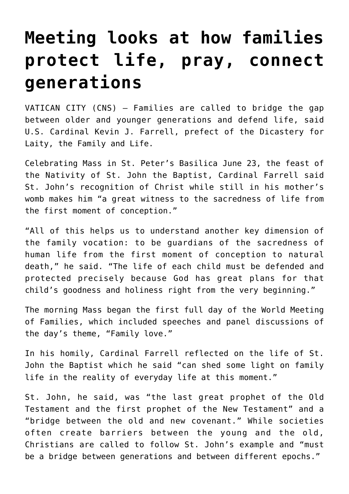## **[Meeting looks at how families](https://www.osvnews.com/2022/06/23/meeting-looks-at-how-families-protect-life-pray-connect-generations/) [protect life, pray, connect](https://www.osvnews.com/2022/06/23/meeting-looks-at-how-families-protect-life-pray-connect-generations/) [generations](https://www.osvnews.com/2022/06/23/meeting-looks-at-how-families-protect-life-pray-connect-generations/)**

VATICAN CITY (CNS) — Families are called to bridge the gap between older and younger generations and defend life, said U.S. Cardinal Kevin J. Farrell, prefect of the Dicastery for Laity, the Family and Life.

Celebrating Mass in St. Peter's Basilica June 23, the feast of the Nativity of St. John the Baptist, Cardinal Farrell said St. John's recognition of Christ while still in his mother's womb makes him "a great witness to the sacredness of life from the first moment of conception."

"All of this helps us to understand another key dimension of the family vocation: to be guardians of the sacredness of human life from the first moment of conception to natural death," he said. "The life of each child must be defended and protected precisely because God has great plans for that child's goodness and holiness right from the very beginning."

The morning Mass began the first full day of the World Meeting of Families, which included speeches and panel discussions of the day's theme, "Family love."

In his homily, Cardinal Farrell reflected on the life of St. John the Baptist which he said "can shed some light on family life in the reality of everyday life at this moment."

St. John, he said, was "the last great prophet of the Old Testament and the first prophet of the New Testament" and a "bridge between the old and new covenant." While societies often create barriers between the young and the old, Christians are called to follow St. John's example and "must be a bridge between generations and between different epochs."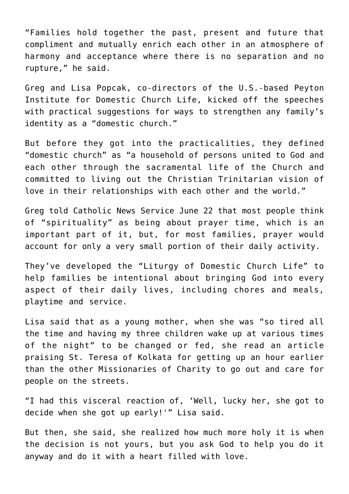"Families hold together the past, present and future that compliment and mutually enrich each other in an atmosphere of harmony and acceptance where there is no separation and no rupture," he said.

Greg and Lisa Popcak, co-directors of the U.S.-based Peyton Institute for Domestic Church Life, kicked off the speeches with practical suggestions for ways to strengthen any family's identity as a "domestic church."

But before they got into the practicalities, they defined "domestic church" as "a household of persons united to God and each other through the sacramental life of the Church and committed to living out the Christian Trinitarian vision of love in their relationships with each other and the world."

Greg told Catholic News Service June 22 that most people think of "spirituality" as being about prayer time, which is an important part of it, but, for most families, prayer would account for only a very small portion of their daily activity.

They've developed the "Liturgy of Domestic Church Life" to help families be intentional about bringing God into every aspect of their daily lives, including chores and meals, playtime and service.

Lisa said that as a young mother, when she was "so tired all the time and having my three children wake up at various times of the night" to be changed or fed, she read an article praising St. Teresa of Kolkata for getting up an hour earlier than the other Missionaries of Charity to go out and care for people on the streets.

"I had this visceral reaction of, 'Well, lucky her, she got to decide when she got up early!'" Lisa said.

But then, she said, she realized how much more holy it is when the decision is not yours, but you ask God to help you do it anyway and do it with a heart filled with love.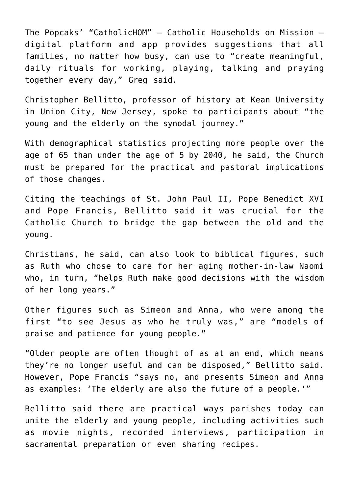The Popcaks' "CatholicHOM" — Catholic Households on Mission digital platform and app provides suggestions that all families, no matter how busy, can use to "create meaningful, daily rituals for working, playing, talking and praying together every day," Greg said.

Christopher Bellitto, professor of history at Kean University in Union City, New Jersey, spoke to participants about "the young and the elderly on the synodal journey."

With demographical statistics projecting more people over the age of 65 than under the age of 5 by 2040, he said, the Church must be prepared for the practical and pastoral implications of those changes.

Citing the teachings of St. John Paul II, Pope Benedict XVI and Pope Francis, Bellitto said it was crucial for the Catholic Church to bridge the gap between the old and the young.

Christians, he said, can also look to biblical figures, such as Ruth who chose to care for her aging mother-in-law Naomi who, in turn, "helps Ruth make good decisions with the wisdom of her long years."

Other figures such as Simeon and Anna, who were among the first "to see Jesus as who he truly was," are "models of praise and patience for young people."

"Older people are often thought of as at an end, which means they're no longer useful and can be disposed," Bellitto said. However, Pope Francis "says no, and presents Simeon and Anna as examples: 'The elderly are also the future of a people.'"

Bellitto said there are practical ways parishes today can unite the elderly and young people, including activities such as movie nights, recorded interviews, participation in sacramental preparation or even sharing recipes.